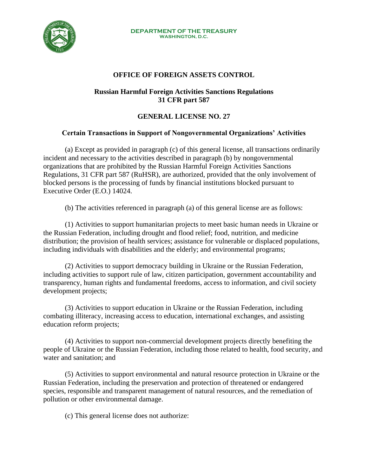

## **OFFICE OF FOREIGN ASSETS CONTROL**

## **Russian Harmful Foreign Activities Sanctions Regulations 31 CFR part 587**

## **GENERAL LICENSE NO. 27**

## **Certain Transactions in Support of Nongovernmental Organizations' Activities**

(a) Except as provided in paragraph (c) of this general license, all transactions ordinarily incident and necessary to the activities described in paragraph (b) by nongovernmental organizations that are prohibited by the Russian Harmful Foreign Activities Sanctions Regulations, 31 CFR part 587 (RuHSR), are authorized, provided that the only involvement of blocked persons is the processing of funds by financial institutions blocked pursuant to Executive Order (E.O.) 14024.

(b) The activities referenced in paragraph (a) of this general license are as follows:

(1) Activities to support humanitarian projects to meet basic human needs in Ukraine or the Russian Federation, including drought and flood relief; food, nutrition, and medicine distribution; the provision of health services; assistance for vulnerable or displaced populations, including individuals with disabilities and the elderly; and environmental programs;

(2) Activities to support democracy building in Ukraine or the Russian Federation, including activities to support rule of law, citizen participation, government accountability and transparency, human rights and fundamental freedoms, access to information, and civil society development projects;

(3) Activities to support education in Ukraine or the Russian Federation, including combating illiteracy, increasing access to education, international exchanges, and assisting education reform projects;

(4) Activities to support non-commercial development projects directly benefiting the people of Ukraine or the Russian Federation, including those related to health, food security, and water and sanitation; and

(5) Activities to support environmental and natural resource protection in Ukraine or the Russian Federation, including the preservation and protection of threatened or endangered species, responsible and transparent management of natural resources, and the remediation of pollution or other environmental damage.

(c) This general license does not authorize: